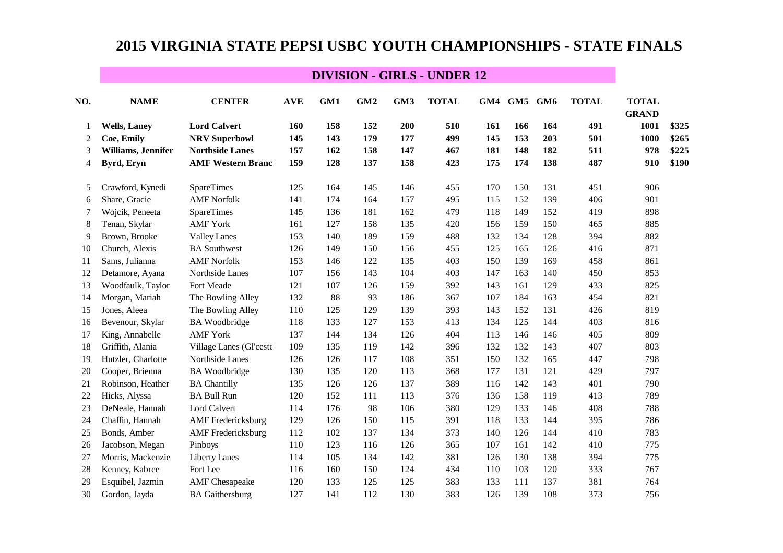# **2015 VIRGINIA STATE PEPSI USBC YOUTH CHAMPIONSHIPS - STATE FINALS**

### **DIVISION - GIRLS - UNDER 12**

| NO. | <b>NAME</b>          | <b>CENTER</b>             | <b>AVE</b> | GM1 | GM <sub>2</sub> | GM3 | <b>TOTAL</b> |     | GM4 GM5 | GM6 | <b>TOTAL</b> | <b>TOTAL</b><br><b>GRAND</b> |       |
|-----|----------------------|---------------------------|------------|-----|-----------------|-----|--------------|-----|---------|-----|--------------|------------------------------|-------|
| -1  | <b>Wells</b> , Laney | <b>Lord Calvert</b>       | 160        | 158 | 152             | 200 | 510          | 161 | 166     | 164 | 491          | 1001                         | \$325 |
| 2   | Coe, Emily           | <b>NRV Superbowl</b>      | 145        | 143 | 179             | 177 | 499          | 145 | 153     | 203 | 501          | <b>1000</b>                  | \$265 |
| 3   | Williams, Jennifer   | <b>Northside Lanes</b>    | 157        | 162 | 158             | 147 | 467          | 181 | 148     | 182 | 511          | 978                          | \$225 |
| 4   | Byrd, Eryn           | <b>AMF Western Branc</b>  | 159        | 128 | 137             | 158 | 423          | 175 | 174     | 138 | 487          | 910                          | \$190 |
| 5   | Crawford, Kynedi     | SpareTimes                | 125        | 164 | 145             | 146 | 455          | 170 | 150     | 131 | 451          | 906                          |       |
| 6   | Share, Gracie        | <b>AMF Norfolk</b>        | 141        | 174 | 164             | 157 | 495          | 115 | 152     | 139 | 406          | 901                          |       |
| 7   | Wojcik, Peneeta      | <b>SpareTimes</b>         | 145        | 136 | 181             | 162 | 479          | 118 | 149     | 152 | 419          | 898                          |       |
| 8   | Tenan, Skylar        | <b>AMF York</b>           | 161        | 127 | 158             | 135 | 420          | 156 | 159     | 150 | 465          | 885                          |       |
| 9   | Brown, Brooke        | <b>Valley Lanes</b>       | 153        | 140 | 189             | 159 | 488          | 132 | 134     | 128 | 394          | 882                          |       |
| 10  | Church, Alexis       | <b>BA</b> Southwest       | 126        | 149 | 150             | 156 | 455          | 125 | 165     | 126 | 416          | 871                          |       |
| 11  | Sams, Julianna       | <b>AMF Norfolk</b>        | 153        | 146 | 122             | 135 | 403          | 150 | 139     | 169 | 458          | 861                          |       |
| 12  | Detamore, Ayana      | Northside Lanes           | 107        | 156 | 143             | 104 | 403          | 147 | 163     | 140 | 450          | 853                          |       |
| 13  | Woodfaulk, Taylor    | Fort Meade                | 121        | 107 | 126             | 159 | 392          | 143 | 161     | 129 | 433          | 825                          |       |
| 14  | Morgan, Mariah       | The Bowling Alley         | 132        | 88  | 93              | 186 | 367          | 107 | 184     | 163 | 454          | 821                          |       |
| 15  | Jones, Aleea         | The Bowling Alley         | 110        | 125 | 129             | 139 | 393          | 143 | 152     | 131 | 426          | 819                          |       |
| 16  | Bevenour, Skylar     | <b>BA</b> Woodbridge      | 118        | 133 | 127             | 153 | 413          | 134 | 125     | 144 | 403          | 816                          |       |
| 17  | King, Annabelle      | <b>AMF York</b>           | 137        | 144 | 134             | 126 | 404          | 113 | 146     | 146 | 405          | 809                          |       |
| 18  | Griffith, Alania     | Village Lanes (Gl'ceste   | 109        | 135 | 119             | 142 | 396          | 132 | 132     | 143 | 407          | 803                          |       |
| 19  | Hutzler, Charlotte   | Northside Lanes           | 126        | 126 | 117             | 108 | 351          | 150 | 132     | 165 | 447          | 798                          |       |
| 20  | Cooper, Brienna      | <b>BA</b> Woodbridge      | 130        | 135 | 120             | 113 | 368          | 177 | 131     | 121 | 429          | 797                          |       |
| 21  | Robinson, Heather    | <b>BA Chantilly</b>       | 135        | 126 | 126             | 137 | 389          | 116 | 142     | 143 | 401          | 790                          |       |
| 22  | Hicks, Alyssa        | <b>BA Bull Run</b>        | 120        | 152 | 111             | 113 | 376          | 136 | 158     | 119 | 413          | 789                          |       |
| 23  | DeNeale, Hannah      | Lord Calvert              | 114        | 176 | 98              | 106 | 380          | 129 | 133     | 146 | 408          | 788                          |       |
| 24  | Chaffin, Hannah      | <b>AMF</b> Fredericksburg | 129        | 126 | 150             | 115 | 391          | 118 | 133     | 144 | 395          | 786                          |       |
| 25  | Bonds, Amber         | <b>AMF</b> Fredericksburg | 112        | 102 | 137             | 134 | 373          | 140 | 126     | 144 | 410          | 783                          |       |
| 26  | Jacobson, Megan      | Pinboys                   | 110        | 123 | 116             | 126 | 365          | 107 | 161     | 142 | 410          | 775                          |       |
| 27  | Morris, Mackenzie    | <b>Liberty Lanes</b>      | 114        | 105 | 134             | 142 | 381          | 126 | 130     | 138 | 394          | 775                          |       |
| 28  | Kenney, Kabree       | Fort Lee                  | 116        | 160 | 150             | 124 | 434          | 110 | 103     | 120 | 333          | 767                          |       |
| 29  | Esquibel, Jazmin     | <b>AMF</b> Chesapeake     | 120        | 133 | 125             | 125 | 383          | 133 | 111     | 137 | 381          | 764                          |       |
| 30  | Gordon, Jayda        | <b>BA</b> Gaithersburg    | 127        | 141 | 112             | 130 | 383          | 126 | 139     | 108 | 373          | 756                          |       |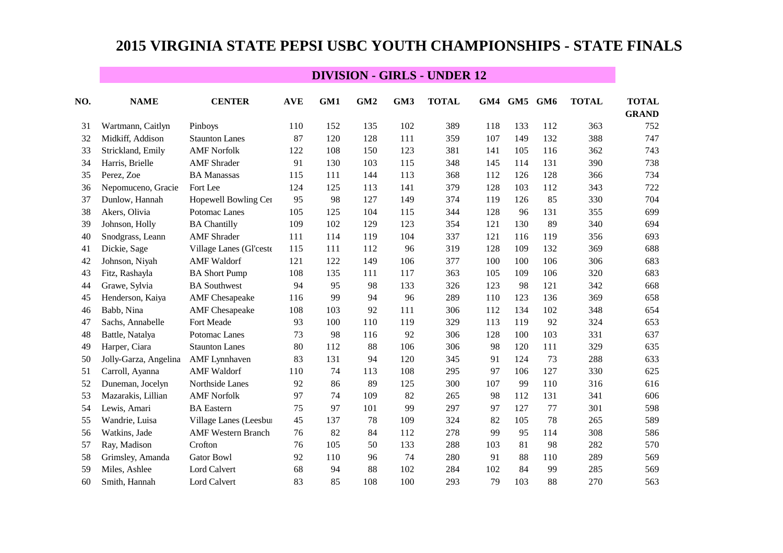# **2015 VIRGINIA STATE PEPSI USBC YOUTH CHAMPIONSHIPS - STATE FINALS**

### **DIVISION - GIRLS - UNDER 12**

| NO. | <b>NAME</b>           | <b>CENTER</b>             | <b>AVE</b> | GM1 | GM <sub>2</sub> | GM3 | <b>TOTAL</b> |     | GM4 GM5 | GM6 | <b>TOTAL</b> | <b>TOTAL</b> |
|-----|-----------------------|---------------------------|------------|-----|-----------------|-----|--------------|-----|---------|-----|--------------|--------------|
|     |                       |                           |            |     |                 |     |              |     |         |     |              | <b>GRAND</b> |
| 31  | Wartmann, Caitlyn     | Pinboys                   | 110        | 152 | 135             | 102 | 389          | 118 | 133     | 112 | 363          | 752          |
| 32  | Midkiff, Addison      | <b>Staunton Lanes</b>     | 87         | 120 | 128             | 111 | 359          | 107 | 149     | 132 | 388          | 747          |
| 33  | Strickland, Emily     | <b>AMF Norfolk</b>        | 122        | 108 | 150             | 123 | 381          | 141 | 105     | 116 | 362          | 743          |
| 34  | Harris, Brielle       | <b>AMF</b> Shrader        | 91         | 130 | 103             | 115 | 348          | 145 | 114     | 131 | 390          | 738          |
| 35  | Perez, Zoe            | <b>BA</b> Manassas        | 115        | 111 | 144             | 113 | 368          | 112 | 126     | 128 | 366          | 734          |
| 36  | Nepomuceno, Gracie    | Fort Lee                  | 124        | 125 | 113             | 141 | 379          | 128 | 103     | 112 | 343          | 722          |
| 37  | Dunlow, Hannah        | Hopewell Bowling Cer      | 95         | 98  | 127             | 149 | 374          | 119 | 126     | 85  | 330          | 704          |
| 38  | Akers, Olivia         | Potomac Lanes             | 105        | 125 | 104             | 115 | 344          | 128 | 96      | 131 | 355          | 699          |
| 39  | Johnson, Holly        | <b>BA Chantilly</b>       | 109        | 102 | 129             | 123 | 354          | 121 | 130     | 89  | 340          | 694          |
| 40  | Snodgrass, Leann      | <b>AMF</b> Shrader        | 111        | 114 | 119             | 104 | 337          | 121 | 116     | 119 | 356          | 693          |
| 41  | Dickie, Sage          | Village Lanes (Gl'ceste   | 115        | 111 | 112             | 96  | 319          | 128 | 109     | 132 | 369          | 688          |
| 42  | Johnson, Niyah        | <b>AMF</b> Waldorf        | 121        | 122 | 149             | 106 | 377          | 100 | 100     | 106 | 306          | 683          |
| 43  | Fitz, Rashayla        | <b>BA Short Pump</b>      | 108        | 135 | 111             | 117 | 363          | 105 | 109     | 106 | 320          | 683          |
| 44  | Grawe, Sylvia         | <b>BA</b> Southwest       | 94         | 95  | 98              | 133 | 326          | 123 | 98      | 121 | 342          | 668          |
| 45  | Henderson, Kaiya      | <b>AMF</b> Chesapeake     | 116        | 99  | 94              | 96  | 289          | 110 | 123     | 136 | 369          | 658          |
| 46  | Babb, Nina            | <b>AMF</b> Chesapeake     | 108        | 103 | 92              | 111 | 306          | 112 | 134     | 102 | 348          | 654          |
| 47  | Sachs, Annabelle      | Fort Meade                | 93         | 100 | 110             | 119 | 329          | 113 | 119     | 92  | 324          | 653          |
| 48  | Battle, Natalya       | Potomac Lanes             | 73         | 98  | 116             | 92  | 306          | 128 | 100     | 103 | 331          | 637          |
| 49  | Harper, Ciara         | <b>Staunton Lanes</b>     | 80         | 112 | 88              | 106 | 306          | 98  | 120     | 111 | 329          | 635          |
| 50  | Jolly-Garza, Angelina | <b>AMF</b> Lynnhaven      | 83         | 131 | 94              | 120 | 345          | 91  | 124     | 73  | 288          | 633          |
| 51  | Carroll, Ayanna       | <b>AMF</b> Waldorf        | 110        | 74  | 113             | 108 | 295          | 97  | 106     | 127 | 330          | 625          |
| 52  | Duneman, Jocelyn      | Northside Lanes           | 92         | 86  | 89              | 125 | 300          | 107 | 99      | 110 | 316          | 616          |
| 53  | Mazarakis, Lillian    | <b>AMF Norfolk</b>        | 97         | 74  | 109             | 82  | 265          | 98  | 112     | 131 | 341          | 606          |
| 54  | Lewis, Amari          | <b>BA</b> Eastern         | 75         | 97  | 101             | 99  | 297          | 97  | 127     | 77  | 301          | 598          |
| 55  | Wandrie, Luisa        | Village Lanes (Leesbur    | 45         | 137 | 78              | 109 | 324          | 82  | 105     | 78  | 265          | 589          |
| 56  | Watkins, Jade         | <b>AMF Western Branch</b> | 76         | 82  | 84              | 112 | 278          | 99  | 95      | 114 | 308          | 586          |
| 57  | Ray, Madison          | Crofton                   | 76         | 105 | 50              | 133 | 288          | 103 | 81      | 98  | 282          | 570          |
| 58  | Grimsley, Amanda      | <b>Gator Bowl</b>         | 92         | 110 | 96              | 74  | 280          | 91  | 88      | 110 | 289          | 569          |
| 59  | Miles, Ashlee         | Lord Calvert              | 68         | 94  | 88              | 102 | 284          | 102 | 84      | 99  | 285          | 569          |
| 60  | Smith, Hannah         | Lord Calvert              | 83         | 85  | 108             | 100 | 293          | 79  | 103     | 88  | 270          | 563          |